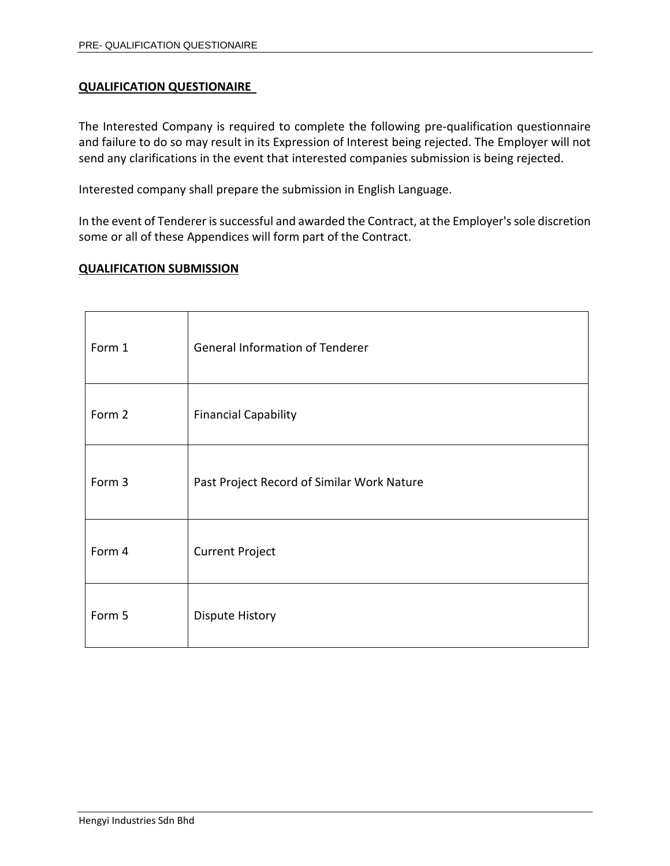# **QUALIFICATION QUESTIONAIRE**

The Interested Company is required to complete the following pre-qualification questionnaire and failure to do so may result in its Expression of Interest being rejected. The Employer will not send any clarifications in the event that interested companies submission is being rejected.

Interested company shall prepare the submission in English Language.

In the event of Tenderer is successful and awarded the Contract, at the Employer's sole discretion some or all of these Appendices will form part of the Contract.

# **QUALIFICATION SUBMISSION**

| Form 1 | <b>General Information of Tenderer</b>     |
|--------|--------------------------------------------|
| Form 2 | <b>Financial Capability</b>                |
| Form 3 | Past Project Record of Similar Work Nature |
| Form 4 | <b>Current Project</b>                     |
| Form 5 | <b>Dispute History</b>                     |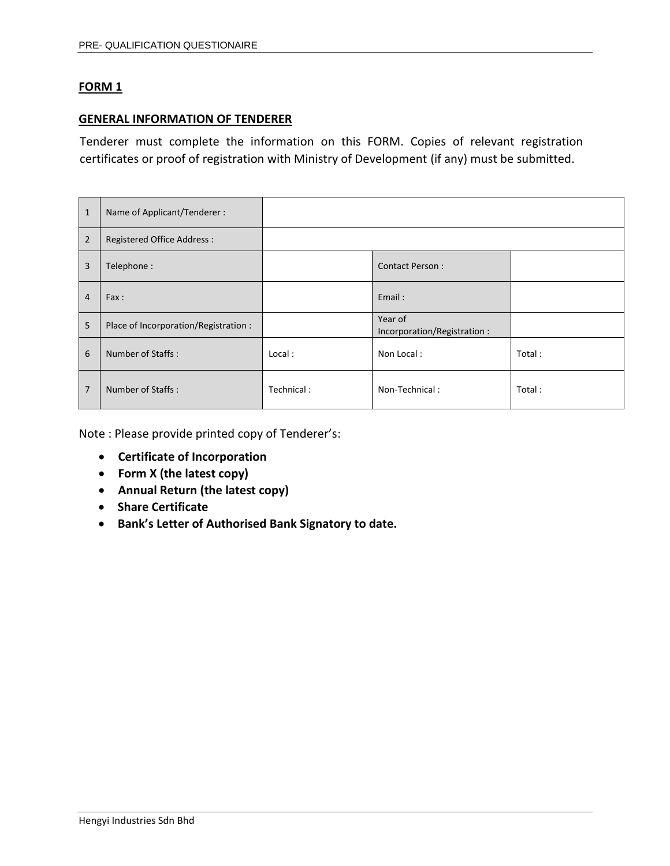#### **GENERAL INFORMATION OF TENDERER**

Tenderer must complete the information on this FORM. Copies of relevant registration certificates or proof of registration with Ministry of Development (if any) must be submitted.

| $\mathbf{1}$   | Name of Applicant/Tenderer:           |            |                                        |        |
|----------------|---------------------------------------|------------|----------------------------------------|--------|
| $\overline{2}$ | <b>Registered Office Address:</b>     |            |                                        |        |
| 3              | Telephone:                            |            | <b>Contact Person:</b>                 |        |
| $\overline{4}$ | Fax:                                  |            | Email:                                 |        |
| 5              | Place of Incorporation/Registration : |            | Year of<br>Incorporation/Registration: |        |
| 6              | Number of Staffs:                     | Local:     | Non Local:                             | Total: |
| 7              | Number of Staffs:                     | Technical: | Non-Technical:                         | Total: |

Note : Please provide printed copy of Tenderer's:

- **Certificate of Incorporation**
- **Form X (the latest copy)**
- **Annual Return (the latest copy)**
- **Share Certificate**
- **Bank's Letter of Authorised Bank Signatory to date.**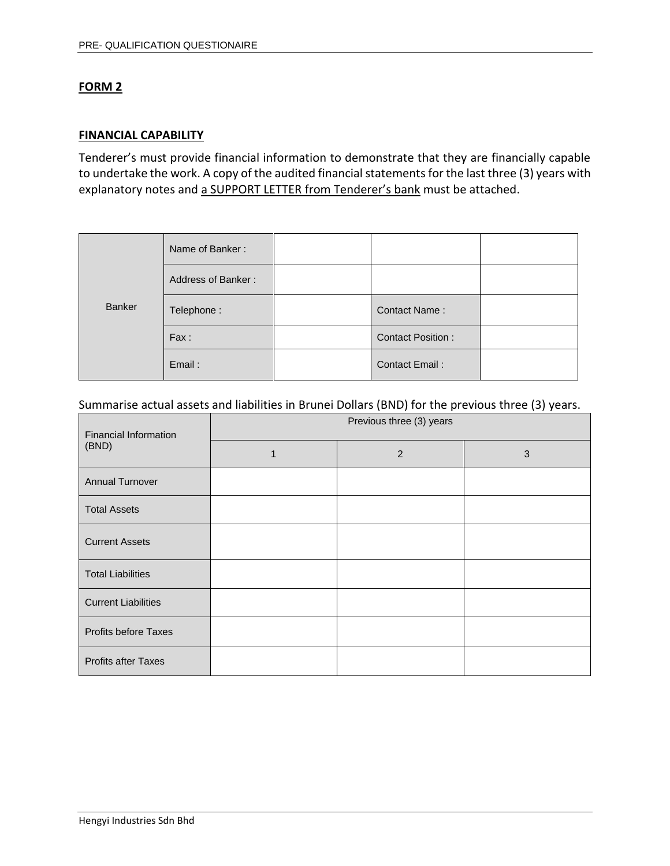### **FINANCIAL CAPABILITY**

Tenderer's must provide financial information to demonstrate that they are financially capable to undertake the work. A copy of the audited financial statements for the last three (3) years with explanatory notes and a SUPPORT LETTER from Tenderer's bank must be attached.

| Banker | Name of Banker:    |                          |  |
|--------|--------------------|--------------------------|--|
|        | Address of Banker: |                          |  |
|        | Telephone:         | Contact Name:            |  |
|        | Fax:               | <b>Contact Position:</b> |  |
|        | Email:             | Contact Email:           |  |

#### Summarise actual assets and liabilities in Brunei Dollars (BND) for the previous three (3) years.

| <b>Financial Information</b> | Previous three (3) years |   |   |  |  |
|------------------------------|--------------------------|---|---|--|--|
| (BND)                        | 1                        | 2 | 3 |  |  |
| <b>Annual Turnover</b>       |                          |   |   |  |  |
| <b>Total Assets</b>          |                          |   |   |  |  |
| <b>Current Assets</b>        |                          |   |   |  |  |
| <b>Total Liabilities</b>     |                          |   |   |  |  |
| <b>Current Liabilities</b>   |                          |   |   |  |  |
| <b>Profits before Taxes</b>  |                          |   |   |  |  |
| <b>Profits after Taxes</b>   |                          |   |   |  |  |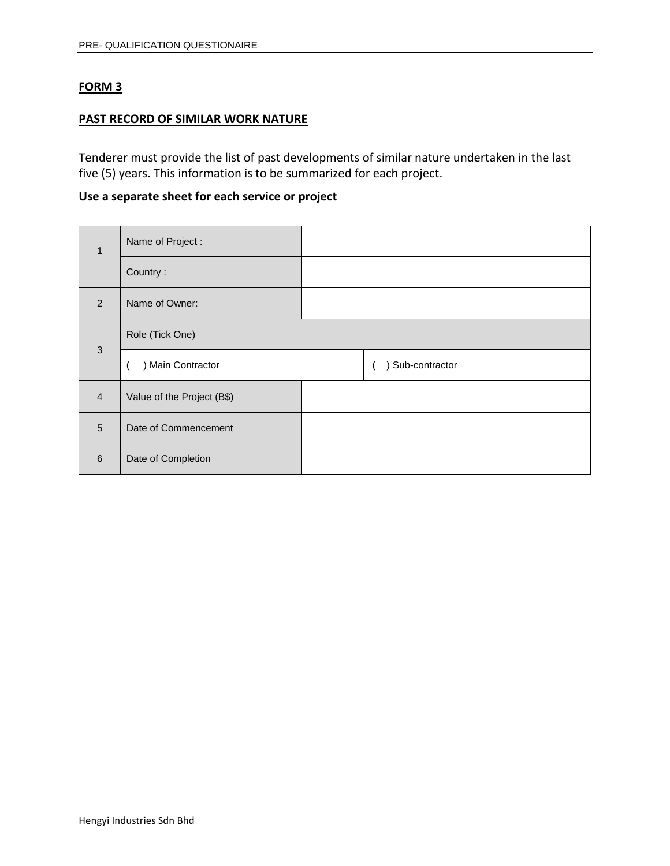#### **PAST RECORD OF SIMILAR WORK NATURE**

Tenderer must provide the list of past developments of similar nature undertaken in the last five (5) years. This information is to be summarized for each project.

# **Use a separate sheet for each service or project**

| $\mathbf{1}$   | Name of Project:           |  |                |
|----------------|----------------------------|--|----------------|
|                | Country:                   |  |                |
| $\mathcal{P}$  | Name of Owner:             |  |                |
| $\mathbf{3}$   | Role (Tick One)            |  |                |
|                | ) Main Contractor          |  | Sub-contractor |
| $\overline{4}$ | Value of the Project (B\$) |  |                |
| 5              | Date of Commencement       |  |                |
| 6              | Date of Completion         |  |                |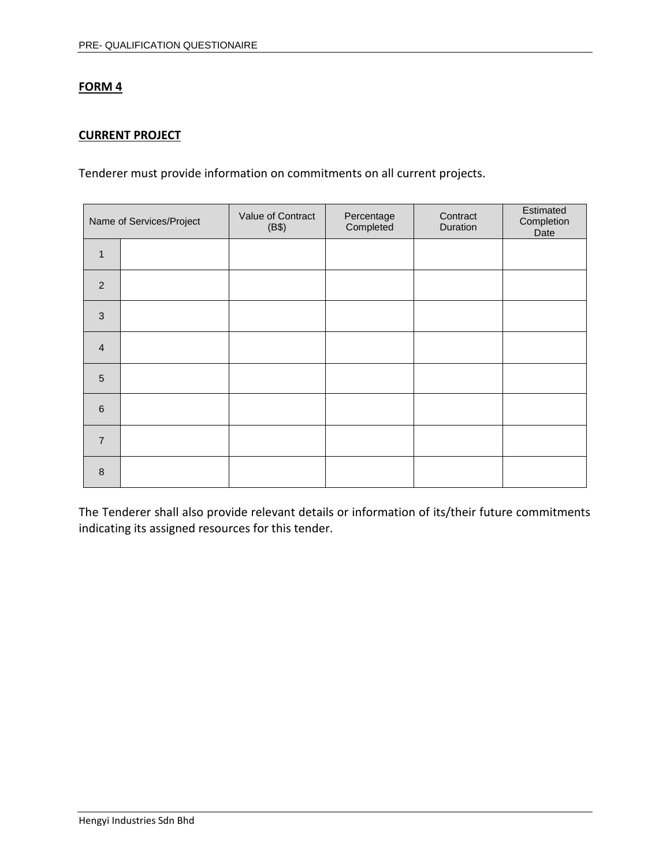# **CURRENT PROJECT**

Tenderer must provide information on commitments on all current projects.

|                | Name of Services/Project | Value of Contract<br>(B\$) | Percentage<br>Completed | Contract<br>Duration | Estimated<br>Completion<br>Date |
|----------------|--------------------------|----------------------------|-------------------------|----------------------|---------------------------------|
| $\mathbf{1}$   |                          |                            |                         |                      |                                 |
| $\overline{2}$ |                          |                            |                         |                      |                                 |
| $\mathbf{3}$   |                          |                            |                         |                      |                                 |
| $\overline{4}$ |                          |                            |                         |                      |                                 |
| 5              |                          |                            |                         |                      |                                 |
| $6\phantom{1}$ |                          |                            |                         |                      |                                 |
| $\overline{7}$ |                          |                            |                         |                      |                                 |
| 8              |                          |                            |                         |                      |                                 |

The Tenderer shall also provide relevant details or information of its/their future commitments indicating its assigned resources for this tender.